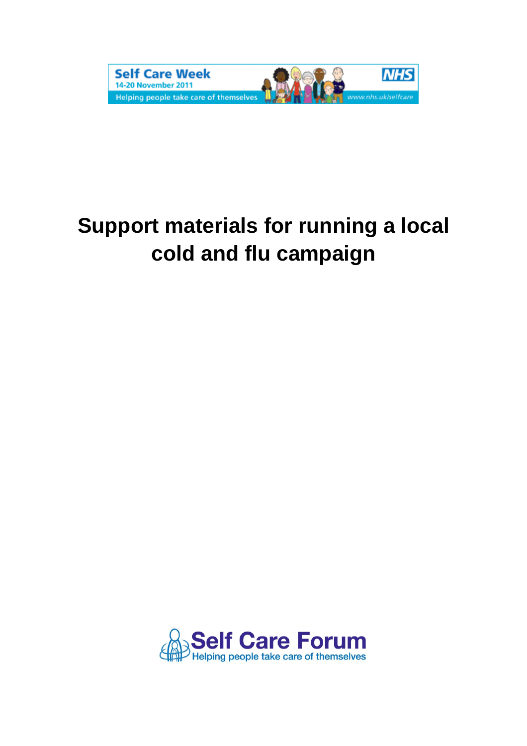

# **Support materials for running a local cold and flu campaign**

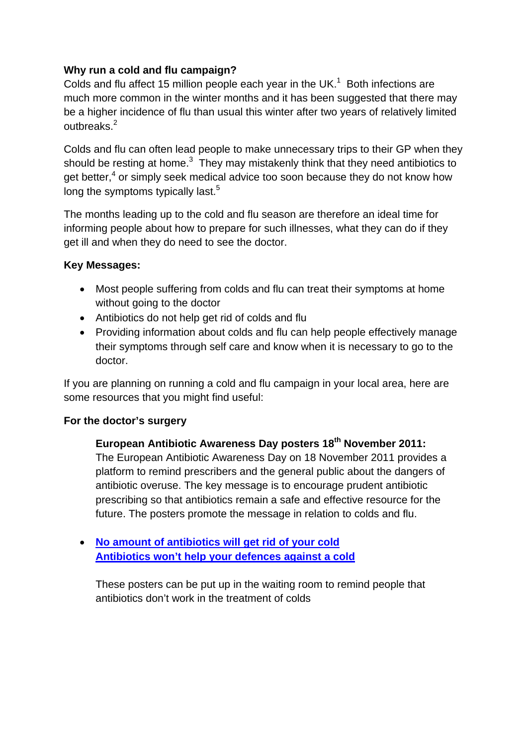# **Why run a cold and flu campaign?**

Colds and flu affect 15 million people each year in the UK.<sup>1</sup> Both infections are much more common in the winter months and it has been suggested that there may be a higher incidence of flu than usual this winter after two years of relatively limited outbreaks. $2$ 

Colds and flu can often lead people to make unnecessary trips to their GP when they should be resting at home. $3$  They may mistakenly think that they need antibiotics to get better,<sup>4</sup> or simply seek medical advice too soon because they do not know how long the symptoms typically last.<sup>[5](#page-4-4)</sup>

The months leading up to the cold and flu season are therefore an ideal time for informing people about how to prepare for such illnesses, what they can do if they get ill and when they do need to see the doctor.

# **Key Messages:**

- Most people suffering from colds and flu can treat their symptoms at home without going to the doctor
- Antibiotics do not help get rid of colds and flu
- Providing information about colds and flu can help people effectively manage their symptoms through self care and know when it is necessary to go to the doctor.

If you are planning on running a cold and flu campaign in your local area, here are some resources that you might find useful:

# **For the doctor's surgery**

**European Antibiotic Awareness Day posters 18th November 2011:**  The European Antibiotic Awareness Day on 18 November 2011 provides a platform to remind prescribers and the general public about the dangers of antibiotic overuse. The key message is to encourage prudent antibiotic prescribing so that antibiotics remain a safe and effective resource for the future. The posters promote the message in relation to colds and flu.

• **[No amount of antibiotics will get rid of your cold](http://www.dh.gov.uk/prod_consum_dh/groups/dh_digitalassets/@dh/@en/@ps/documents/digitalasset/dh_120849.pdf) [Antibiotics won't help your defences against a cold](http://www.dh.gov.uk/prod_consum_dh/groups/dh_digitalassets/@dh/@en/@ps/documents/digitalasset/dh_120845.pdf)**

These posters can be put up in the waiting room to remind people that antibiotics don't work in the treatment of colds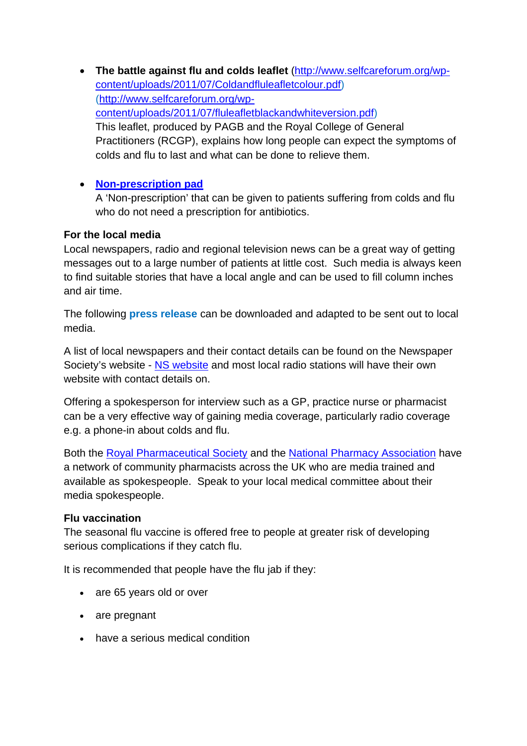• **The battle against flu and colds leaflet** ([http://www.selfcareforum.org/wp](http://www.selfcareforum.org/wp-content/uploads/2011/07/Coldandfluleafletcolour.pdf)[content/uploads/2011/07/Coldandfluleafletcolour.pdf\)](http://www.selfcareforum.org/wp-content/uploads/2011/07/Coldandfluleafletcolour.pdf) ([http://www.selfcareforum.org/wp](http://www.selfcareforum.org/wp-content/uploads/2011/07/fluleafletblackandwhiteversion.pdf)[content/uploads/2011/07/fluleafletblackandwhiteversion.pdf](http://www.selfcareforum.org/wp-content/uploads/2011/07/fluleafletblackandwhiteversion.pdf)) This leaflet, produced by PAGB and the Royal College of General Practitioners (RCGP), explains how long people can expect the symptoms of colds and flu to last and what can be done to relieve them.

# • **[Non-prescription pad](http://www.dh.gov.uk/prod_consum_dh/groups/dh_digitalassets/@dh/@en/@ps/documents/digitalasset/dh_120848.pdf)**

A 'Non-prescription' that can be given to patients suffering from colds and flu who do not need a prescription for antibiotics.

#### **For the local media**

Local newspapers, radio and regional television news can be a great way of getting messages out to a large number of patients at little cost. Such media is always keen to find suitable stories that have a local angle and can be used to fill column inches and air time.

The following **press release** can be downloaded and adapted to be sent out to local media.

A list of local newspapers and their contact details can be found on the Newspaper Society's website - [NS website](http://www.newspapersoc.org.uk/) and most local radio stations will have their own website with contact details on.

Offering a spokesperson for interview such as a GP, practice nurse or pharmacist can be a very effective way of gaining media coverage, particularly radio coverage e.g. a phone-in about colds and flu.

Both the [Royal Pharmaceutical Society](http://www.rpharms.com/about-us/media-centre.asp) and the [National Pharmacy Association](http://www.npa.co.uk/Representing-you/Media-centre/) have a network of community pharmacists across the UK who are media trained and available as spokespeople. Speak to your local medical committee about their media spokespeople.

# **Flu vaccination**

The seasonal flu vaccine is offered free to people at greater risk of developing serious complications if they catch flu.

It is recommended that people have the flu jab if they:

- are 65 years old or over
- are pregnant
- have a serious medical condition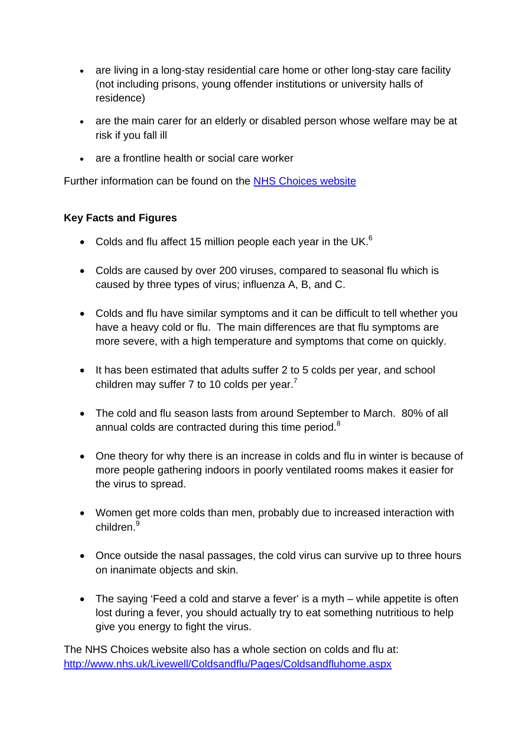- are living in a long-stay residential care home or other long-stay care facility (not including prisons, young offender institutions or university halls of residence)
- are the main carer for an elderly or disabled person whose welfare may be at risk if you fall ill
- are a frontline health or social care worker

Further information can be found on the [NHS Choices website](http://www.nhs.uk/Conditions/Flu-jab/Pages/Whyitshouldbedone.aspx)

# **Key Facts and Figures**

- Colds and flu affect 15 million people each year in the UK. $<sup>6</sup>$ </sup>
- Colds are caused by over 200 viruses, compared to seasonal flu which is caused by three types of virus; influenza A, B, and C.
- Colds and flu have similar symptoms and it can be difficult to tell whether you have a heavy cold or flu. The main differences are that flu symptoms are more severe, with a high temperature and symptoms that come on quickly.
- It has been estimated that adults suffer 2 to 5 colds per year, and school children may suffer [7](#page-4-6) to 10 colds per year.<sup>7</sup>
- The cold and flu season lasts from around September to March. 80% of all annual colds are contracted during this time period.<sup>[8](#page-4-7)</sup>
- One theory for why there is an increase in colds and flu in winter is because of more people gathering indoors in poorly ventilated rooms makes it easier for the virus to spread.
- Women get more colds than men, probably due to increased interaction with children.<sup>[9](#page-4-8)</sup>
- Once outside the nasal passages, the cold virus can survive up to three hours on inanimate objects and skin.
- The saying 'Feed a cold and starve a fever' is a myth while appetite is often lost during a fever, you should actually try to eat something nutritious to help give you energy to fight the virus.

The NHS Choices website also has a whole section on colds and flu at: <http://www.nhs.uk/Livewell/Coldsandflu/Pages/Coldsandfluhome.aspx>